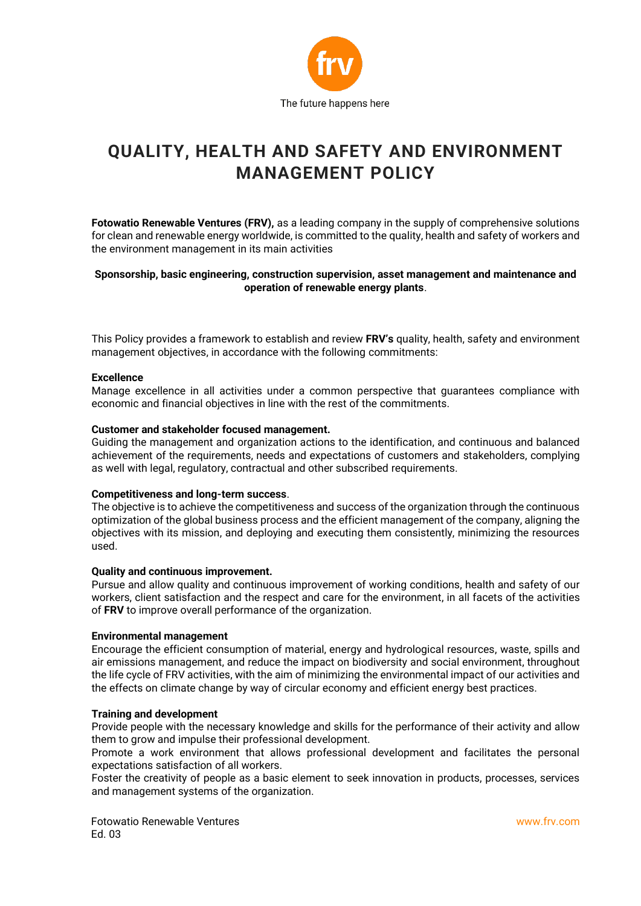

# **QUALITY, HEALTH AND SAFETY AND ENVIRONMENT MANAGEMENT POLICY**

**Fotowatio Renewable Ventures (FRV),** as a leading company in the supply of comprehensive solutions for clean and renewable energy worldwide, is committed to the quality, health and safety of workers and the environment management in its main activities

## **Sponsorship, basic engineering, construction supervision, asset management and maintenance and operation of renewable energy plants**.

This Policy provides a framework to establish and review **FRV's** quality, health, safety and environment management objectives, in accordance with the following commitments:

#### **Excellence**

Manage excellence in all activities under a common perspective that guarantees compliance with economic and financial objectives in line with the rest of the commitments.

#### **Customer and stakeholder focused management.**

Guiding the management and organization actions to the identification, and continuous and balanced achievement of the requirements, needs and expectations of customers and stakeholders, complying as well with legal, regulatory, contractual and other subscribed requirements.

#### **Competitiveness and long-term success**.

The objective is to achieve the competitiveness and success of the organization through the continuous optimization of the global business process and the efficient management of the company, aligning the objectives with its mission, and deploying and executing them consistently, minimizing the resources used.

#### **Quality and continuous improvement.**

Pursue and allow quality and continuous improvement of working conditions, health and safety of our workers, client satisfaction and the respect and care for the environment, in all facets of the activities of **FRV** to improve overall performance of the organization.

#### **Environmental management**

Encourage the efficient consumption of material, energy and hydrological resources, waste, spills and air emissions management, and reduce the impact on biodiversity and social environment, throughout the life cycle of FRV activities, with the aim of minimizing the environmental impact of our activities and the effects on climate change by way of circular economy and efficient energy best practices.

#### **Training and development**

Provide people with the necessary knowledge and skills for the performance of their activity and allow them to grow and impulse their professional development.

Promote a work environment that allows professional development and facilitates the personal expectations satisfaction of all workers.

Foster the creativity of people as a basic element to seek innovation in products, processes, services and management systems of the organization.

Fotowatio Renewable Ventures Ed. 03